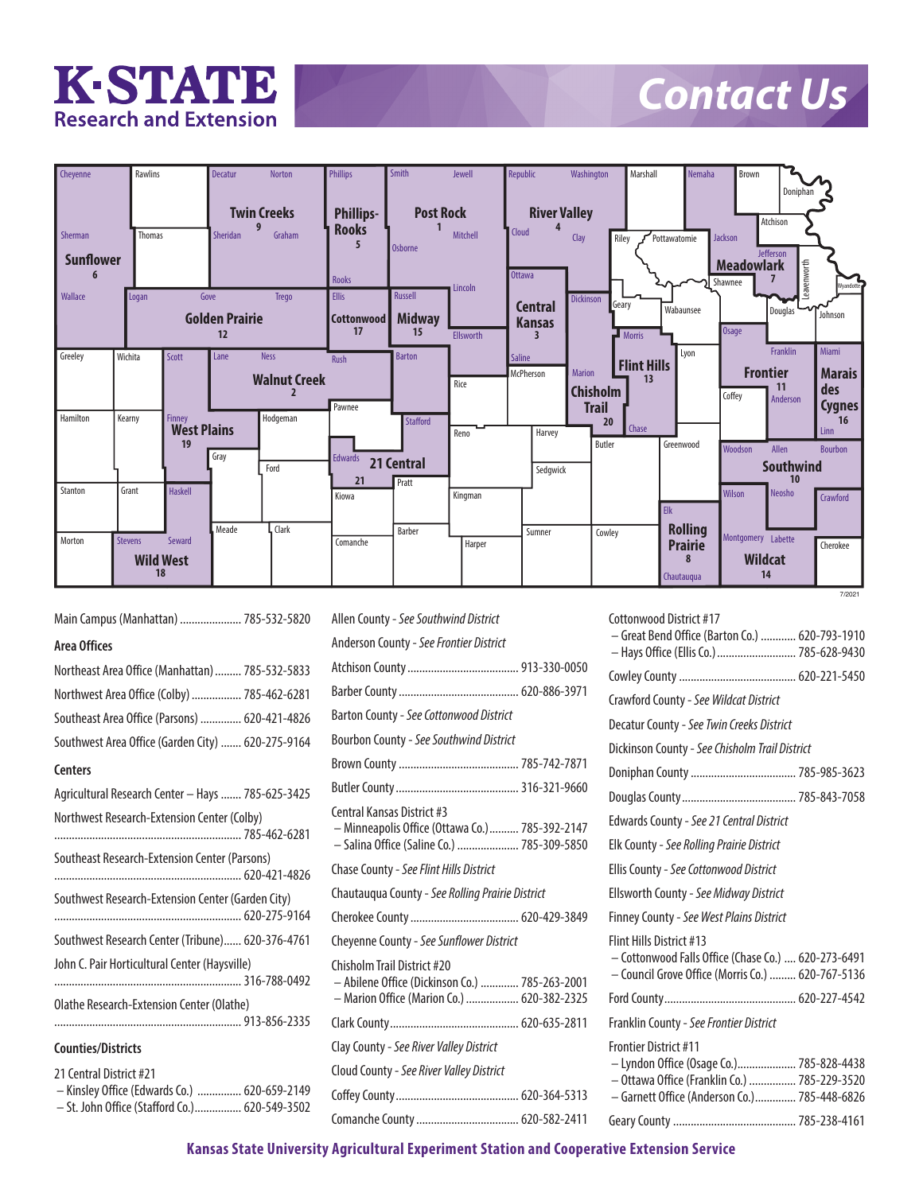

## *Contact Us*

| Cheyenne         |                | Rawlins                      | <b>Decatur</b>        | Norton              | <b>Phillips</b>   | Smith            | Jewell    | Republic            | Washington       | Marshall                 | Nemaha         | Brown                                            | Doniphan               |                |
|------------------|----------------|------------------------------|-----------------------|---------------------|-------------------|------------------|-----------|---------------------|------------------|--------------------------|----------------|--------------------------------------------------|------------------------|----------------|
|                  |                |                              |                       | <b>Twin Creeks</b>  | <b>Phillips-</b>  | <b>Post Rock</b> |           | <b>River Valley</b> |                  |                          |                | Atchison                                         |                        |                |
| Sherman          |                | <b>Thomas</b>                | <b>Sheridan</b>       | Graham              | <b>Rooks</b>      |                  | Mitchell  | <b>Cloud</b>        | Clay             | Riley                    | Pottawatomie   | Jackson                                          |                        |                |
| <b>Sunflower</b> |                |                              |                       |                     | 5<br>Rooks        | <b>Osborne</b>   | Lincoln   | <b>Ottawa</b>       |                  |                          |                | <b>Jefferson</b><br><b>Meadowlark</b><br>Shawnee | Leavenworth            | Wyandotte      |
| Wallace          | Logan          |                              | Gove                  | Trego               | Ellis             | Russell          |           | <b>Central</b>      | <b>Dickinson</b> | Geary                    |                |                                                  |                        |                |
|                  |                |                              | <b>Golden Prairie</b> |                     | <b>Cottonwood</b> | <b>Midway</b>    |           | <b>Kansas</b>       |                  |                          | Wabaunsee      |                                                  | Douglas                | Johnson        |
|                  |                |                              | 12                    |                     | 17                | 15               | Ellsworth | 3                   |                  | <b>Morris</b>            |                | <b>Osage</b>                                     |                        |                |
| Greeley          | Wichita        | Scott                        | Lane                  | <b>Ness</b>         | <b>Rush</b>       | <b>Barton</b>    |           | <b>Saline</b>       |                  |                          | Lyon           |                                                  | Franklin               | <b>Miami</b>   |
|                  |                |                              |                       |                     |                   |                  |           | McPherson           | <b>Marion</b>    | <b>Flint Hills</b><br>13 |                | <b>Frontier</b>                                  |                        | <b>Marais</b>  |
|                  |                |                              |                       | <b>Walnut Creek</b> |                   |                  | Rice      |                     | <b>Chisholm</b>  |                          |                | Coffey                                           | 11                     | des            |
|                  |                |                              |                       |                     | Pawnee            |                  |           |                     | <b>Trail</b>     |                          |                |                                                  | Anderson               | <b>Cygnes</b>  |
| Hamilton         | Kearny         | Finney<br><b>West Plains</b> |                       | Hodgeman            |                   | Stafford         |           |                     | 20               | Chase                    |                |                                                  |                        | 16<br>Linn     |
|                  |                | 19                           |                       |                     |                   |                  | Reno      | Harvey              | Butler           |                          | Greenwood      | Woodson                                          | Allen                  |                |
|                  |                |                              | Gray                  |                     | <b>Edwards</b>    | 21 Central       |           |                     |                  |                          |                |                                                  |                        | <b>Bourbon</b> |
|                  |                |                              |                       | Ford                | 21                | Pratt            |           | Sedgwick            |                  |                          |                |                                                  | <b>Southwind</b><br>10 |                |
| Stanton          | Grant          | <b>Haskell</b>               |                       |                     | Kiowa             |                  | Kingman   |                     |                  |                          |                | <b>Wilson</b>                                    | Neosho                 | Crawford       |
|                  |                |                              |                       |                     |                   |                  |           |                     |                  | Elk                      |                |                                                  |                        |                |
|                  |                |                              | Meade                 | <b>Clark</b>        |                   | Barber           |           | Sumner              | Cowley           |                          | <b>Rolling</b> |                                                  |                        |                |
| Morton           | <b>Stevens</b> | Seward                       |                       |                     | Comanche          |                  | Harper    |                     |                  |                          | <b>Prairie</b> | Montgomery Labette                               |                        | Cherokee       |
|                  |                | <b>Wild West</b>             |                       |                     |                   |                  |           |                     |                  |                          | 8              | <b>Wildcat</b>                                   |                        |                |
|                  |                | 18                           |                       |                     |                   |                  |           |                     |                  |                          | Chautauqua     | 14                                               |                        |                |
|                  |                |                              |                       |                     |                   |                  |           |                     |                  |                          |                |                                                  |                        | 7/2021         |

**Area Offices** Northeast Area Office (Manhattan).........785-532-5833 Northwest Area Office (Colby).................785-462-6281 Southeast Area Office (Parsons) ..............620-421-4826 Southwest Area Office (Garden City) .......620-275-9164 **Centers** Agricultural Research Center - Hays ....... 785-625-3425 Northwest Research-Extension Center (Colby) ................................................................785-462-6281 Southeast Research-Extension Center (Parsons) ................................................................620-421-4826 Southwest Research-Extension Center (Garden City) ................................................................620-275-9164 Southwest Research Center (Tribune)......620-376-4761 John C. Pair Horticultural Center (Haysville) ................................................................316-788-0492 Olathe Research-Extension Center (Olathe) ................................................................913-856-2335 **Counties/Districts** 21 Central District #21 – Kinsley Office (Edwards Co.) ...............620-659-2149 – St. John Office (Stafford Co.)................620-549-3502

Main Campus (Manhattan) .....................785-532-5820

**July 2021** Allen County - *See Southwind District* **21 districts and 46 county units** Anderson County - *See Frontier District* Atchison County......................................913-330-0050 Barber County.........................................620-886-3971 Barton County - *See Cottonwood District* Bourbon County - *See Southwind District* Brown County.........................................785-742-7871 Butler County..........................................316-321-9660 Central Kansas District #3 – Minneapolis Office (Ottawa Co.)..........785-392-2147 – Salina Office (Saline Co.) .....................785-309-5850 Chase County - *See Flint Hills District* Chautauqua County - *See Rolling Prairie District* Cherokee County.....................................620-429-3849 Cheyenne County - *See Sunflower District* Chisholm Trail District #20 – Abilene Office (Dickinson Co.) .............785-263-2001 – Marion Office (Marion Co.)..................620-382-2325 Clark County............................................620-635-2811 Clay County - *See River Valley District* Cloud County - *See River Valley District* Coffey County..........................................620-364-5313 Comanche County...................................620-582-2411 Cottonwood District #17

| - Great Bend Office (Barton Co.)  620-793-1910<br>- Hays Office (Ellis Co.)  785-628-9430                                                                                |
|--------------------------------------------------------------------------------------------------------------------------------------------------------------------------|
|                                                                                                                                                                          |
| Crawford County - See Wildcat District                                                                                                                                   |
| Decatur County - See Twin Creeks District                                                                                                                                |
| Dickinson County - See Chisholm Trail District                                                                                                                           |
|                                                                                                                                                                          |
|                                                                                                                                                                          |
| Edwards County - See 21 Central District                                                                                                                                 |
| Elk County - See Rolling Prairie District                                                                                                                                |
| Ellis County - See Cottonwood District                                                                                                                                   |
| Ellsworth County - See Midway District                                                                                                                                   |
| Finney County - See West Plains District                                                                                                                                 |
| Flint Hills District #13<br>- Cottonwood Falls Office (Chase Co.)  620-273-6491<br>- Council Grove Office (Morris Co.)  620-767-5136                                     |
|                                                                                                                                                                          |
| Franklin County - See Frontier District                                                                                                                                  |
| <b>Frontier District #11</b><br>- Lyndon Office (Osage Co.) 785-828-4438<br>- Ottawa Office (Franklin Co.)  785-229-3520<br>- Garnett Office (Anderson Co.) 785-448-6826 |
|                                                                                                                                                                          |

**Kansas State University Agricultural Experiment Station and Cooperative Extension Service**